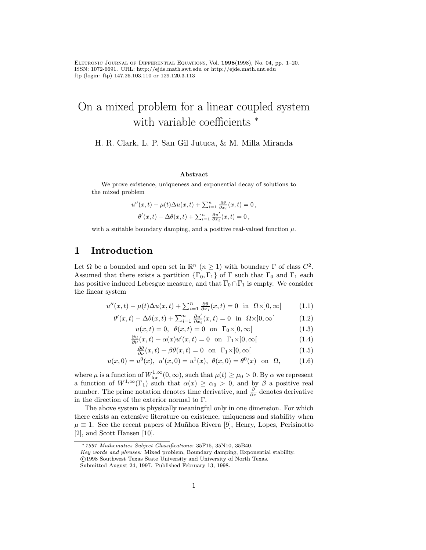Eletronic Journal of Differential Equations, Vol. 1998(1998), No. 04, pp. 1–20. ISSN: 1072-6691. URL: http://ejde.math.swt.edu or http://ejde.math.unt.edu ftp (login: ftp) 147.26.103.110 or 129.120.3.113

# On a mixed problem for a linear coupled system with variable coefficients  $*$

H. R. Clark, L. P. San Gil Jutuca, & M. Milla Miranda

#### Abstract

We prove existence, uniqueness and exponential decay of solutions to the mixed problem

$$
u''(x,t) - \mu(t)\Delta u(x,t) + \sum_{i=1}^n \frac{\partial \theta}{\partial x_i}(x,t) = 0,
$$
  

$$
\theta'(x,t) - \Delta \theta(x,t) + \sum_{i=1}^n \frac{\partial u'}{\partial x_i}(x,t) = 0,
$$

with a suitable boundary damping, and a positive real-valued function  $\mu$ .

# 1 Introduction

Let  $\Omega$  be a bounded and open set in  $\mathbb{R}^n$   $(n \geq 1)$  with boundary  $\Gamma$  of class  $C^2$ . Assumed that there exists a partition  $\{\Gamma_0, \Gamma_1\}$  of  $\Gamma$  such that  $\Gamma_0$  and  $\Gamma_1$  each has positive induced Lebesgue measure, and that  $\overline{\Gamma}_0 \cap \overline{\Gamma}_1$  is empty. We consider the linear system

$$
u''(x,t) - \mu(t)\Delta u(x,t) + \sum_{i=1}^{n} \frac{\partial \theta}{\partial x_i}(x,t) = 0 \text{ in } \Omega \times ]0, \infty[
$$
 (1.1)

$$
\theta'(x,t) - \Delta\theta(x,t) + \sum_{i=1}^{n} \frac{\partial u'}{\partial x_i}(x,t) = 0 \text{ in } \Omega \times ]0,\infty[
$$
 (1.2)

$$
u(x,t) = 0, \quad \theta(x,t) = 0 \quad \text{on} \quad \Gamma_0 \times ]0, \infty[ \tag{1.3}
$$

$$
\frac{\partial u}{\partial \nu}(x,t) + \alpha(x)u'(x,t) = 0 \text{ on } \Gamma_1 \times ]0, \infty[
$$
 (1.4)

$$
\frac{\partial \theta}{\partial \nu}(x,t) + \beta \theta(x,t) = 0 \quad \text{on} \quad \Gamma_1 \times ]0, \infty[ \tag{1.5}
$$

$$
u(x,0) = u^{0}(x), \ u'(x,0) = u^{1}(x), \ \theta(x,0) = \theta^{0}(x) \quad \text{on} \ \ \Omega, \tag{1.6}
$$

where  $\mu$  is a function of  $W^{1,\infty}_{\text{loc}}(0,\infty)$ , such that  $\mu(t) \geq \mu_0 > 0$ . By  $\alpha$  we represent a function of  $W^{1,\infty}(\Gamma_1)$  such that  $\alpha(x) \ge \alpha_0 > 0$ , and by  $\beta$  a positive real number. The prime notation denotes time derivative, and  $\frac{\partial}{\partial y}$  denotes derivative in the direction of the exterior normal to  $\Gamma$ .

The above system is physically meaningful only in one dimension. For which there exists an extensive literature on existence, uniqueness and stability when  $\mu \equiv 1$ . See the recent papers of Muñhoz Rivera [9], Henry, Lopes, Perisinotto [2], and Scott Hansen [10].

<sup>∗</sup>1991 Mathematics Subject Classifications: 35F15, 35N10, 35B40.

Key words and phrases: Mixed problem, Boundary damping, Exponential stability. c 1998 Southwest Texas State University and University of North Texas.

Submitted August 24, 1997. Published February 13, 1998.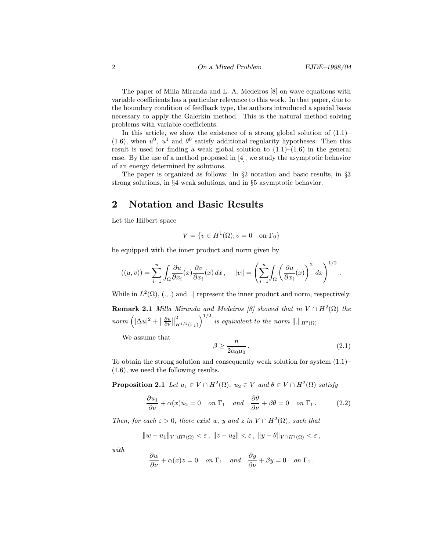The paper of Milla Miranda and L. A. Medeiros [8] on wave equations with variable coefficients has a particular relevance to this work. In that paper, due to the boundary condition of feedback type, the authors introduced a special basis necessary to apply the Galerkin method. This is the natural method solving problems with variable coefficients.

In this article, we show the existence of a strong global solution of  $(1.1)$ – (1.6), when  $u^0$ ,  $u^1$  and  $\theta^0$  satisfy additional regularity hypotheses. Then this result is used for finding a weak global solution to  $(1.1)$ – $(1.6)$  in the general case. By the use of a method proposed in [4], we study the asymptotic behavior of an energy determined by solutions.

The paper is organized as follows: In §2 notation and basic results, in §3 strong solutions, in §4 weak solutions, and in §5 asymptotic behavior.

#### 2 Notation and Basic Results

Let the Hilbert space

$$
V = \{ v \in H^1(\Omega) ; v = 0 \quad \text{on } \Gamma_0 \}
$$

be equipped with the inner product and norm given by

$$
((u,v)) = \sum_{i=1}^n \int_{\Omega} \frac{\partial u}{\partial x_i}(x) \frac{\partial v}{\partial x_i}(x) dx, \quad ||v|| = \left(\sum_{i=1}^n \int_{\Omega} \left(\frac{\partial u}{\partial x_i}(x)\right)^2 dx\right)^{1/2}.
$$

While in  $L^2(\Omega)$ ,  $(.,.)$  and  $|.|$  represent the inner product and norm, respectively.

**Remark 2.1** Milla Miranda and Medeiros [8] showed that in  $V \cap H^2(\Omega)$  the  $norm\left(|\Delta u|^2 + \|\right)$  $rac{\partial u}{\partial \nu}$ || 2  $\int_{H^{1/2}(\Gamma_1)}^{2} \int_0^{1/2}$  is equivalent to the norm  $\|.\|_{H^2(\Omega)}$ .

We assume that

$$
\beta \ge \frac{n}{2\alpha_0 \mu_0} \,. \tag{2.1}
$$

To obtain the strong solution and consequently weak solution for system (1.1)– (1.6), we need the following results.

**Proposition 2.1** Let  $u_1 \in V \cap H^2(\Omega)$ ,  $u_2 \in V$  and  $\theta \in V \cap H^2(\Omega)$  satisfy

$$
\frac{\partial u_1}{\partial \nu} + \alpha(x)u_2 = 0 \quad on \ \Gamma_1 \quad and \quad \frac{\partial \theta}{\partial \nu} + \beta \theta = 0 \quad on \ \Gamma_1 \,. \tag{2.2}
$$

Then, for each  $\varepsilon > 0$ , there exist w, y and z in  $V \cap H^2(\Omega)$ , such that

$$
||w - u_1||_{V \cap H^2(\Omega)} < \varepsilon, ||z - u_2|| < \varepsilon, ||y - \theta||_{V \cap H^2(\Omega)} < \varepsilon,
$$

with

$$
\frac{\partial w}{\partial \nu} + \alpha(x)z = 0 \quad on \ \Gamma_1 \quad and \quad \frac{\partial y}{\partial \nu} + \beta y = 0 \quad on \ \Gamma_1 \,.
$$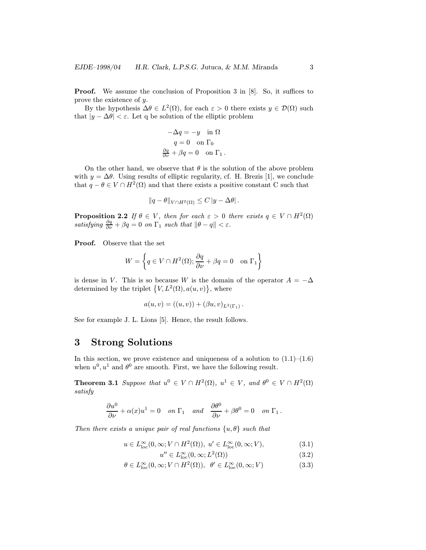**Proof.** We assume the conclusion of Proposition 3 in [8]. So, it suffices to prove the existence of y.

By the hypothesis  $\Delta \theta \in L^2(\Omega)$ , for each  $\varepsilon > 0$  there exists  $y \in \mathcal{D}(\Omega)$  such that  $|y - \Delta \theta| < \varepsilon$ . Let q be solution of the elliptic problem

$$
-\Delta q = -y \quad \text{in } \Omega
$$

$$
q = 0 \quad \text{on } \Gamma_0
$$

$$
\frac{\partial q}{\partial \nu} + \beta q = 0 \quad \text{on } \Gamma_1 \, .
$$

On the other hand, we observe that  $\theta$  is the solution of the above problem with  $y = \Delta \theta$ . Using results of elliptic regularity, cf. H. Brezis [1], we conclude that  $q - \theta \in V \cap H^2(\Omega)$  and that there exists a positive constant C such that

$$
||q - \theta||_{V \cap H^2(\Omega)} \leq C |y - \Delta \theta|.
$$

**Proposition 2.2** If  $\theta \in V$ , then for each  $\varepsilon > 0$  there exists  $q \in V \cap H^2(\Omega)$ satisfying  $\frac{\partial q}{\partial \nu} + \beta q = 0$  on  $\Gamma_1$  such that  $\|\theta - q\| < \varepsilon$ .

Proof. Observe that the set

$$
W = \left\{ q \in V \cap H^2(\Omega); \frac{\partial q}{\partial \nu} + \beta q = 0 \quad \text{on } \Gamma_1 \right\}
$$

is dense in V. This is so because W is the domain of the operator  $A = -\Delta$ determined by the triplet  $\{V, L^2(\Omega), a(u, v)\}\$ , where

$$
a(u, v) = ((u, v)) + (\beta u, v)_{L^2(\Gamma_1)}.
$$

See for example J. L. Lions [5]. Hence, the result follows.

#### 3 Strong Solutions

In this section, we prove existence and uniqueness of a solution to  $(1.1)$ – $(1.6)$ when  $u^0, u^1$  and  $\theta^0$  are smooth. First, we have the following result.

**Theorem 3.1** Suppose that  $u^0 \in V \cap H^2(\Omega)$ ,  $u^1 \in V$ , and  $\theta^0 \in V \cap H^2(\Omega)$ satisfy

$$
\frac{\partial u^0}{\partial \nu} + \alpha(x)u^1 = 0 \quad on \ \Gamma_1 \quad and \quad \frac{\partial \theta^0}{\partial \nu} + \beta \theta^0 = 0 \quad on \ \Gamma_1 \, .
$$

Then there exists a unique pair of real functions  $\{u, \theta\}$  such that

$$
u \in L^{\infty}_{\text{loc}}(0,\infty; V \cap H^{2}(\Omega)), \ u' \in L^{\infty}_{\text{loc}}(0,\infty; V), \tag{3.1}
$$

$$
u'' \in L^{\infty}_{\text{loc}}(0,\infty; L^{2}(\Omega))
$$
\n(3.2)

$$
\theta \in L_{\text{loc}}^{\infty}(0,\infty;V \cap H^{2}(\Omega)), \ \ \theta' \in L_{\text{loc}}^{\infty}(0,\infty;V) \tag{3.3}
$$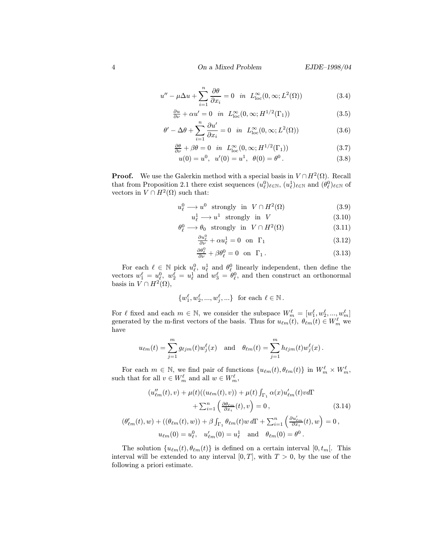$$
u'' - \mu \Delta u + \sum_{i=1}^{n} \frac{\partial \theta}{\partial x_i} = 0 \quad \text{in} \quad L_{\text{loc}}^{\infty}(0, \infty; L^2(\Omega))
$$
 (3.4)

$$
\frac{\partial u}{\partial \nu} + \alpha u' = 0 \quad \text{in} \quad L_{\text{loc}}^{\infty}(0, \infty; H^{1/2}(\Gamma_1)) \tag{3.5}
$$

$$
\theta' - \Delta\theta + \sum_{i=1}^{n} \frac{\partial u'}{\partial x_i} = 0 \quad in \quad L_{\text{loc}}^{\infty}(0, \infty; L^2(\Omega))
$$
\n(3.6)

$$
\frac{\partial \theta}{\partial \nu} + \beta \theta = 0 \quad \text{in} \quad L_{\text{loc}}^{\infty}(0, \infty; H^{1/2}(\Gamma_1)) \tag{3.7}
$$

$$
u(0) = u^0, \ \ u'(0) = u^1, \ \ \theta(0) = \theta^0. \tag{3.8}
$$

**Proof.** We use the Galerkin method with a special basis in  $V \cap H^2(\Omega)$ . Recall that from Proposition 2.1 there exist sequences  $(u_\ell^0)_{\ell \in \mathbb{N}}$ ,  $(u_\ell^1)_{\ell \in \mathbb{N}}$  and  $(\theta_\ell^0)_{\ell \in \mathbb{N}}$  of vectors in  $V \cap H^2(\Omega)$  such that:

$$
u_{\ell}^{0} \longrightarrow u^{0} \text{ strongly in } V \cap H^{2}(\Omega)
$$
 (3.9)

$$
u_{\ell}^{1} \longrightarrow u^{1} \text{ strongly in } V \tag{3.10}
$$

$$
\theta_{\ell}^{0} \longrightarrow \theta_{0} \text{ strongly in } V \cap H^{2}(\Omega) \tag{3.11}
$$

$$
\frac{\partial u_{\ell}^{0}}{\partial \nu} + \alpha u_{\ell}^{1} = 0 \quad \text{on} \quad \Gamma_{1} \tag{3.12}
$$

$$
\frac{\partial \theta_{\ell}^{0}}{\partial \nu} + \beta \theta_{\ell}^{0} = 0 \quad \text{on} \quad \Gamma_{1} \,. \tag{3.13}
$$

For each  $\ell \in \mathbb{N}$  pick  $u_{\ell}^0$ ,  $u_{\ell}^1$  and  $\theta_{\ell}^0$  linearly independent, then define the vectors  $w_1^{\ell} = u_{\ell}^0$ ,  $w_2^{\tilde{\ell}} = u_{\ell}^1$  and  $w_3^{\ell} = \theta_{\ell}^0$ , and then construct an orthonormal basis in  $V \cap H^2(\Omega)$ ,

$$
\{w_1^\ell,w_2^\ell,...,w_j^\ell,...\} \ \text{ for each } \ell \in \mathbb{N} \, .
$$

For  $\ell$  fixed and each  $m \in \mathbb{N}$ , we consider the subspace  $W_m^{\ell} = [w_1^{\ell}, w_2^{\ell}, ..., w_m^{\ell}]$ generated by the m-first vectors of the basis. Thus for  $u_{\ell m}(t)$ ,  $\theta_{\ell m}(t) \in W_m^{\ell}$  we have

$$
u_{\ell m}(t) = \sum_{j=1}^m g_{\ell j m}(t) w_j^{\ell}(x) \text{ and } \theta_{\ell m}(t) = \sum_{j=1}^m h_{\ell j m}(t) w_j^{\ell}(x).
$$

For each  $m \in \mathbb{N}$ , we find pair of functions  $\{u_{\ell m}(t), \theta_{\ell m}(t)\}\$ in  $W_m^{\ell} \times W_m^{\ell}$ such that for all  $v \in W_m^{\ell}$  and all  $w \in W_m^{\ell}$ ,

$$
(u''_{\ell m}(t), v) + \mu(t)((u_{\ell m}(t), v)) + \mu(t) \int_{\Gamma_1} \alpha(x) u'_{\ell m}(t) v d\Gamma
$$

$$
+ \sum_{i=1}^n \left( \frac{\partial \theta_{\ell m}}{\partial x_i}(t), v \right) = 0, \qquad (3.14)
$$

$$
(\theta'_{\ell m}(t), w) + ((\theta_{\ell m}(t), w)) + \beta \int_{\Gamma_1} \theta_{\ell m}(t) w d\Gamma + \sum_{i=1}^n \left( \frac{\partial u'_{\ell m}}{\partial x_i}(t), w \right) = 0,
$$

$$
u_{\ell m}(0) = u_{\ell}^0, \quad u'_{\ell m}(0) = u_{\ell}^1 \quad \text{and} \quad \theta_{\ell m}(0) = \theta^0.
$$

The solution  $\{u_{\ell m}(t), \theta_{\ell m}(t)\}\$ is defined on a certain interval  $[0, t_m[$ . This interval will be extended to any interval  $[0, T]$ , with  $T > 0$ , by the use of the following a priori estimate.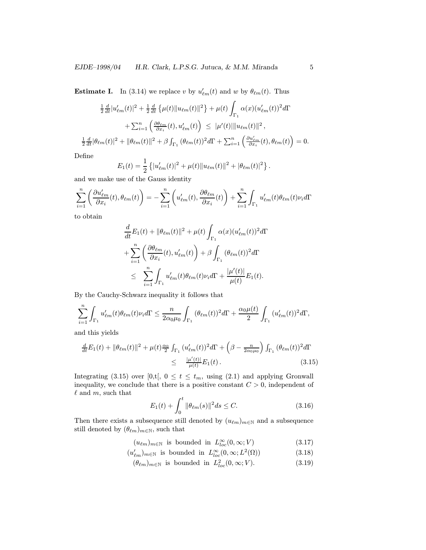**Estimate I.** In (3.14) we replace v by  $u'_{\ell m}(t)$  and w by  $\theta_{\ell m}(t)$ . Thus

$$
\frac{1}{2}\frac{d}{dt}|u'_{\ell m}(t)|^2 + \frac{1}{2}\frac{d}{dt}\left\{\mu(t)\|u_{\ell m}(t)\|^2\right\} + \mu(t)\int_{\Gamma_1} \alpha(x)(u'_{\ell m}(t))^2 d\Gamma
$$

$$
+ \sum_{i=1}^n \left(\frac{\partial \theta_{\ell m}}{\partial x_i}(t), u'_{\ell m}(t)\right) \leq |\mu'(t)| \|u_{\ell m}(t)\|^2,
$$

$$
\frac{1}{2}\frac{d}{dt}|\theta_{\ell m}(t)|^2 + |\theta_{\ell m}(t)|^2 + \beta \int_{\Gamma_1} (\theta_{\ell m}(t))^2 d\Gamma + \sum_{i=1}^n \left(\frac{\partial u'_{\ell m}}{\partial x_i}(t), \theta_{\ell m}(t)\right) = 0.
$$

Define

$$
E_1(t) = \frac{1}{2} \left\{ |u'_{\ell m}(t)|^2 + \mu(t) ||u_{\ell m}(t)||^2 + |\theta_{\ell m}(t)|^2 \right\}.
$$

and we make use of the Gauss identity

$$
\sum_{i=1}^{n} \left( \frac{\partial u'_{\ell m}}{\partial x_i}(t), \theta_{\ell m}(t) \right) = -\sum_{i=1}^{n} \left( u'_{\ell m}(t), \frac{\partial \theta_{\ell m}}{\partial x_i}(t) \right) + \sum_{i=1}^{n} \int_{\Gamma_1} u'_{\ell m}(t) \theta_{\ell m}(t) \nu_i d\Gamma
$$

to obtain

$$
\frac{d}{dt}E_1(t) + \|\theta_{\ell m}(t)\|^2 + \mu(t) \int_{\Gamma_1} \alpha(x)(u'_{\ell m}(t))^2 d\Gamma
$$
\n
$$
+ \sum_{i=1}^n \left( \frac{\partial \theta_{\ell m}}{\partial x_i}(t), u'_{\ell m}(t) \right) + \beta \int_{\Gamma_1} (\theta_{\ell m}(t))^2 d\Gamma
$$
\n
$$
\leq \sum_{i=1}^n \int_{\Gamma_1} u'_{\ell m}(t) \theta_{\ell m}(t) \nu_i d\Gamma + \frac{|\mu'(t)|}{\mu(t)} E_1(t).
$$

By the Cauchy-Schwarz inequality it follows that

$$
\sum_{i=1}^n \int_{\Gamma_1} u'_{\ell m}(t) \theta_{\ell m}(t) \nu_i d\Gamma \leq \frac{n}{2\alpha_0 \mu_0} \int_{\Gamma_1} (\theta_{\ell m}(t))^2 d\Gamma + \frac{\alpha_0 \mu(t)}{2} \int_{\Gamma_1} (u'_{\ell m}(t))^2 d\Gamma,
$$

and this yields

$$
\frac{d}{dt}E_1(t) + ||\theta_{\ell m}(t)||^2 + \mu(t)\frac{\alpha_0}{2} \int_{\Gamma_1} (u'_{\ell m}(t))^2 d\Gamma + \left(\beta - \frac{n}{2\alpha_0\mu_0}\right) \int_{\Gamma_1} (\theta_{\ell m}(t))^2 d\Gamma
$$
\n
$$
\leq \frac{|\mu'(t)|}{\mu(t)} E_1(t).
$$
\n(3.15)

Integrating (3.15) over [0,t[,  $0 \le t \le t_m$ , using (2.1) and applying Gronwall inequality, we conclude that there is a positive constant  $C > 0$ , independent of  $\ell$  and  $m$ , such that

$$
E_1(t) + \int_0^t \|\theta_{\ell m}(s)\|^2 ds \le C. \tag{3.16}
$$

Then there exists a subsequence still denoted by  $(u_{\ell m})_{m\in\mathbb{N}}$  and a subsequence still denoted by  $(\theta_{\ell m})_{m \in \mathbb{N}}$ , such that

 $(u_{\ell m})_{m \in \mathbb{N}}$  is bounded in  $L^{\infty}_{loc}(0, \infty; V)$  (3.17)

 $(u'_{\ell m})_{m \in \mathbb{N}}$  is bounded in  $L^{\infty}_{loc}(0, \infty; L^2(\Omega))$  (3.18)

$$
(\theta_{\ell m})_{m \in \mathbb{N}} \text{ is bounded in } L^2_{loc}(0, \infty; V). \tag{3.19}
$$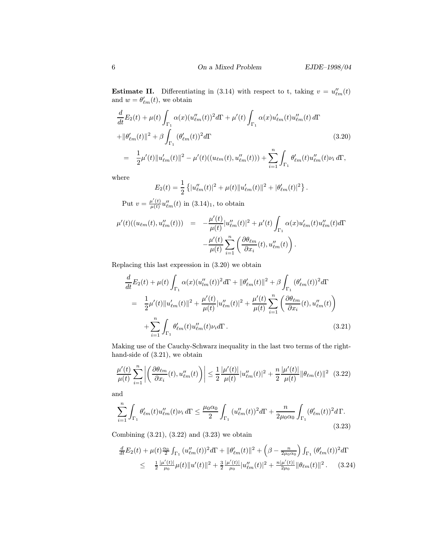**Estimate II.** Differentiating in (3.14) with respect to t, taking  $v = u_{\ell m}''(t)$ and  $w = \theta'_{\ell m}(t)$ , we obtain

$$
\frac{d}{dt}E_2(t) + \mu(t) \int_{\Gamma_1} \alpha(x)(u_{\ell m}''(t))^2 d\Gamma + \mu'(t) \int_{\Gamma_1} \alpha(x)u_{\ell m}'(t)u_{\ell m}''(t) d\Gamma \n+ ||\theta_{\ell m}'(t)||^2 + \beta \int_{\Gamma_1} (\theta_{\ell m}'(t))^2 d\Gamma
$$
\n(3.20)\n
$$
= \frac{1}{2}\mu'(t) ||u_{\ell m}'(t)||^2 - \mu'(t)((u_{\ell m}(t), u_{\ell m}''(t))) + \sum_{i=1}^n \int_{\Gamma_1} \theta_{\ell m}'(t)u_{\ell m}''(t)u_i d\Gamma,
$$

where

$$
E_2(t) = \frac{1}{2} \left\{ |u''_{\ell m}(t)|^2 + \mu(t) ||u'_{\ell m}(t)||^2 + |\theta'_{\ell m}(t)|^2 \right\}.
$$

Put  $v = \frac{\mu'(t)}{\mu(t)} u''_{\ell m}(t)$  in  $(3.14)_1$ , to obtain

$$
\mu'(t)((u_{\ell m}(t), u''_{\ell m}(t))) = -\frac{\mu'(t)}{\mu(t)}|u''_{\ell m}(t)|^2 + \mu'(t)\int_{\Gamma_1} \alpha(x)u'_{\ell m}(t)u''_{\ell m}(t)d\Gamma
$$

$$
-\frac{\mu'(t)}{\mu(t)}\sum_{i=1}^n \left(\frac{\partial \theta_{\ell m}}{\partial x_i}(t), u''_{\ell m}(t)\right).
$$

Replacing this last expression in (3.20) we obtain

$$
\frac{d}{dt}E_2(t) + \mu(t) \int_{\Gamma_1} \alpha(x)(u''_{lm}(t))^2 d\Gamma + ||\theta'_{\ell m}(t)||^2 + \beta \int_{\Gamma_1} (\theta'_{\ell m}(t))^2 d\Gamma
$$
\n
$$
= \frac{1}{2}\mu'(t)||u'_{\ell m}(t)||^2 + \frac{\mu'(t)}{\mu(t)}|u''_{\ell m}(t)|^2 + \frac{\mu'(t)}{\mu(t)}\sum_{i=1}^n \left(\frac{\partial \theta_{\ell m}}{\partial x_i}(t), u''_{\ell m}(t)\right)
$$
\n
$$
+ \sum_{i=1}^n \int_{\Gamma_1} \theta'_{\ell m}(t)u''_{\ell m}(t)\nu_i d\Gamma.
$$
\n(3.21)

Making use of the Cauchy-Schwarz inequality in the last two terms of the righthand-side of (3.21), we obtain

$$
\frac{\mu'(t)}{\mu(t)} \sum_{i=1}^{n} \left| \left( \frac{\partial \theta_{\ell m}}{\partial x_i}(t), u_{\ell m}''(t) \right) \right| \leq \frac{1}{2} \frac{|\mu'(t)|}{\mu(t)} |u_{\ell m}''(t)|^2 + \frac{n}{2} \frac{|\mu'(t)|}{\mu(t)} ||\theta_{\ell m}(t)||^2 \tag{3.22}
$$

and

$$
\sum_{i=1}^{n} \int_{\Gamma_1} \theta'_{\ell m}(t) u''_{\ell m}(t) \nu_i d\Gamma \le \frac{\mu_0 \alpha_0}{2} \int_{\Gamma_1} (u''_{\ell m}(t))^2 d\Gamma + \frac{n}{2\mu_0 \alpha_0} \int_{\Gamma_1} (\theta'_{\ell m}(t))^2 d\Gamma. \tag{3.23}
$$

Combining  $(3.21)$ ,  $(3.22)$  and  $(3.23)$  we obtain

$$
\frac{d}{dt}E_2(t) + \mu(t)\frac{\alpha_0}{2} \int_{\Gamma_1} (u''_{\ell m}(t))^2 d\Gamma + ||\theta'_{\ell m}(t)||^2 + \left(\beta - \frac{n}{2\mu_0 \alpha_0}\right) \int_{\Gamma_1} (\theta'_{\ell m}(t))^2 d\Gamma
$$
\n
$$
\leq \frac{1}{2} \frac{|\mu'(t)|}{\mu_0} \mu(t) ||u'(t)||^2 + \frac{3}{2} \frac{|\mu'(t)|}{\mu_0} |u''_{\ell m}(t)|^2 + \frac{n|\mu'(t)|}{2\mu_0} ||\theta_{\ell m}(t)||^2. \tag{3.24}
$$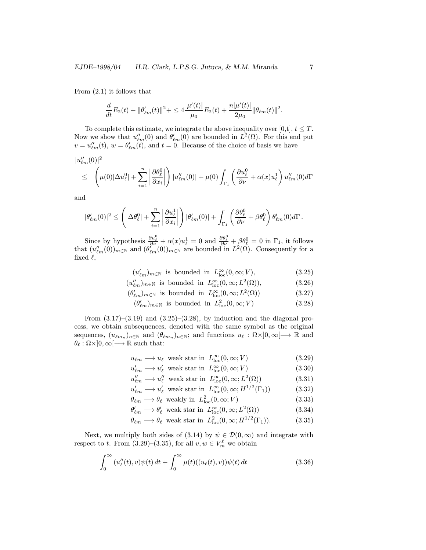From (2.1) it follows that

$$
\frac{d}{dt}E_2(t) + \|\theta'_{\ell m}(t)\|^2 + \leq 4\frac{|\mu'(t)|}{\mu_0}E_2(t) + \frac{n|\mu'(t)|}{2\mu_0}\|\theta_{\ell m}(t)\|^2.
$$

To complete this estimate, we integrate the above inequality over [0,t],  $t \leq T$ . Now we show that  $u''_{\ell m}(0)$  and  $\theta'_{\ell m}(0)$  are bounded in  $L^2(\Omega)$ . For this end put  $v = u''_{\ell m}(t), w = \theta'_{\ell m}(t)$ , and  $t = 0$ . Because of the choice of basis we have

$$
\begin{aligned} &|u_{\ell m}''(0)|^2\\ &\leq \quad \left(\mu(0)|\Delta u_{\ell}^0|+\sum_{i=1}^n\left|\frac{\partial\theta_{\ell}^0}{\partial x_i}\right|\right)|u_{\ell m}''(0)|+\mu(0)\int_{\Gamma_1}\left(\frac{\partial u_{\ell}^0}{\partial \nu}+\alpha(x)u_{\ell}^1\right)u_{\ell m}''(0)d\Gamma\end{aligned}
$$

and

$$
|\theta'_{\ell m}(0)|^2\leq \left(|\Delta \theta^0_{\ell}|+\sum_{i=1}^n\left|\frac{\partial u^1_{\ell}}{\partial x_i}\right|\right)|\theta'_{\ell m}(0)|+\int_{\Gamma_1}\left(\frac{\partial \theta^0_{\ell}}{\partial \nu}+\beta \theta^0_{\ell}\right)\theta'_{\ell m}(0)d\Gamma\,.
$$

Since by hypothesis  $\frac{\partial u_{\ell}^0}{\partial \nu} + \alpha(x)u_{\ell}^1 = 0$  and  $\frac{\partial \theta_{\ell}^0}{\partial \nu} + \beta \theta_{\ell}^0 = 0$  in  $\Gamma_1$ , it follows that  $(u''_{\ell m}(0))_{m\in\mathbb{N}}$  and  $(\theta'_{\ell m}(0))_{m\in\mathbb{N}}$  are bounded in  $L^2(\Omega)$ . Consequently for a fixed  $\ell$ ,

 $(u'_{\ell m})_{m \in \mathbb{N}}$  is bounded in  $L^{\infty}_{loc}(0, \infty; V)$ , (3.25)

$$
(u''_{\ell m})_{m \in \mathbb{N}} \text{ is bounded in } L^{\infty}_{\text{loc}}(0, \infty; L^{2}(\Omega)), \tag{3.26}
$$

$$
(\theta'_{\ell m})_{m \in \mathbb{N}} \text{ is bounded in } L^{\infty}_{\text{loc}}(0, \infty; L^{2}(\Omega))
$$
\n
$$
(3.27)
$$

$$
(\theta'_{\ell m})_{m \in \mathbb{N}} \text{ is bounded in } L^2_{\text{loc}}(0, \infty; V) \tag{3.28}
$$

From  $(3.17)$ – $(3.19)$  and  $(3.25)$ – $(3.28)$ , by induction and the diagonal process, we obtain subsequences, denoted with the same symbol as the original sequences,  $(u_{\ell m_n})_{n\in\mathbb{N}}$  and  $(\theta_{\ell m_n})_{n\in\mathbb{N}}$ ; and functions  $u_\ell : \Omega \times ]0, \infty[ \longrightarrow \mathbb{R}$  and  $\theta_{\ell} : \Omega \times ]0, \infty[ \longrightarrow \mathbb{R}$  such that:

$$
u_{\ell m} \longrightarrow u_{\ell} \text{ weak star in } L^{\infty}_{\text{loc}}(0, \infty; V)
$$
 (3.29)

$$
u'_{\ell m} \longrightarrow u'_{\ell} \text{ weak star in } L^{\infty}_{\text{loc}}(0, \infty; V)
$$
 (3.30)

$$
u''_{\ell m} \longrightarrow u''_{\ell} \text{ weak star in } L^{\infty}_{\text{loc}}(0, \infty; L^{2}(\Omega))
$$
 (3.31)

$$
u'_{\ell m} \longrightarrow u'_{\ell} \text{ weak star in } L^{\infty}_{\text{loc}}(0, \infty; H^{1/2}(\Gamma_1))
$$
 (3.32)

$$
\theta_{\ell m} \longrightarrow \theta_{\ell} \text{ weakly in } L^2_{\text{loc}}(0, \infty; V) \tag{3.33}
$$

$$
\theta'_{\ell m} \longrightarrow \theta'_{\ell} \text{ weak star in } L^{\infty}_{\text{loc}}(0,\infty; L^{2}(\Omega))
$$
\n(3.34)

$$
\theta_{\ell m} \longrightarrow \theta_{\ell} \text{ weak star in } L^2_{\text{loc}}(0,\infty; H^{1/2}(\Gamma_1)).
$$
 (3.35)

Next, we multiply both sides of (3.14) by  $\psi \in \mathcal{D}(0,\infty)$  and integrate with respect to t. From (3.29)–(3.35), for all  $v, w \in V_m^{\ell}$  we obtain

$$
\int_0^\infty \left(u''_{\ell}(t), v\right) \psi(t) dt + \int_0^\infty \mu(t) \left((u_\ell(t), v)\right) \psi(t) dt \tag{3.36}
$$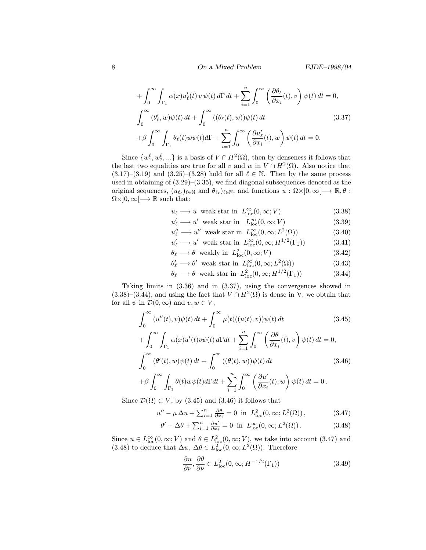8 **On a Mixed Problem EJDE**–1998/04

$$
+\int_0^\infty \int_{\Gamma_1} \alpha(x) u_\ell'(t) v \psi(t) d\Gamma dt + \sum_{i=1}^n \int_0^\infty \left(\frac{\partial \theta_\ell}{\partial x_i}(t), v\right) \psi(t) dt = 0,
$$
  

$$
\int_0^\infty (\theta_\ell', w) \psi(t) dt + \int_0^\infty ((\theta_\ell(t), w)) \psi(t) dt
$$
(3.37)  

$$
+\beta \int_0^\infty \int_{\Gamma_1} \theta_\ell(t) w \psi(t) d\Gamma + \sum_{i=1}^n \int_0^\infty \left(\frac{\partial u_\ell'}{\partial x_i}(t), w\right) \psi(t) dt = 0.
$$

Since  $\{w_1^{\ell}, w_2^{\ell}, ...\}$  is a basis of  $V \cap H^2(\Omega)$ , then by denseness it follows that the last two equalities are true for all v and w in  $V \cap H^2(\Omega)$ . Also notice that  $(3.17)$ – $(3.19)$  and  $(3.25)$ – $(3.28)$  hold for all  $\ell \in \mathbb{N}$ . Then by the same process used in obtaining of (3.29)–(3.35), we find diagonal subsequences denoted as the original sequences,  $(u_{\ell_\ell})_{\ell \in \mathbb{N}}$  and  $\theta_{\ell_\ell}$ ) $_{\ell \in \mathbb{N}}$ , and functions  $u : \Omega \times ]0, \infty[ \longrightarrow \mathbb{R}, \theta :$  $\Omega \times ]0, \infty[$   $\longrightarrow \mathbb{R}$  such that:

$$
u_{\ell} \longrightarrow u \text{ weak star in } L^{\infty}_{\text{loc}}(0, \infty; V)
$$
 (3.38)

$$
u'_{\ell} \longrightarrow u' \text{ weak star in } L^{\infty}_{\text{loc}}(0, \infty; V)
$$
 (3.39)

- $u''_{\ell} \longrightarrow u''$  weak star in  $L^{\infty}_{\text{loc}}(0,\infty; L^{2}(\Omega))$  (3.40)
- $u'_{\ell} \longrightarrow u'$  weak star in  $L_{\text{loc}}^{\infty}(0,\infty;H^{1/2}(\Gamma_1))$  (3.41)
- $\theta_{\ell} \longrightarrow \theta$  weakly in  $L^2_{\text{loc}}(0,\infty; V)$  (3.42)
- $\theta'_{\ell} \longrightarrow \theta'$  weak star in  $L_{\text{loc}}^{\infty}(0,\infty;L^2(\Omega))$  (3.43)
- $\theta_{\ell} \longrightarrow \theta$  weak star in  $L_{\text{loc}}^2(0,\infty;H^{1/2}(\Gamma_1))$  (3.44)

Taking limits in (3.36) and in (3.37), using the convergences showed in  $(3.38)$ – $(3.44)$ , and using the fact that  $V \cap H^2(\Omega)$  is dense in V, we obtain that for all  $\psi$  in  $\mathcal{D}(0,\infty)$  and  $v, w \in V$ ,

$$
\int_0^\infty (u''(t), v)\psi(t) dt + \int_0^\infty \mu(t)((u(t), v))\psi(t) dt \qquad (3.45)
$$
  
+ 
$$
\int_0^\infty \int_{\Gamma_1} \alpha(x)u'(t)v\psi(t) d\Gamma dt + \sum_{i=1}^n \int_0^\infty \left(\frac{\partial \theta}{\partial x_i}(t), v\right)\psi(t) dt = 0,
$$
  

$$
\int_0^\infty (\theta'(t), w)\psi(t) dt + \int_0^\infty ((\theta(t), w))\psi(t) dt \qquad (3.46)
$$
  
+ 
$$
\beta \int_0^\infty \int_{\Gamma_1} \theta(t)w\psi(t)d\Gamma dt + \sum_{i=1}^n \int_0^\infty \left(\frac{\partial u'}{\partial x_i}(t), w\right)\psi(t) dt = 0.
$$

Since  $\mathcal{D}(\Omega) \subset V$ , by (3.45) and (3.46) it follows that

$$
u'' - \mu \Delta u + \sum_{i=1}^{n} \frac{\partial \theta}{\partial x_i} = 0 \text{ in } L^2_{\text{loc}}(0, \infty; L^2(\Omega)), \tag{3.47}
$$

$$
\theta' - \Delta\theta + \sum_{i=1}^{n} \frac{\partial u'}{\partial x_i} = 0 \text{ in } L^{\infty}_{\text{loc}}(0, \infty; L^2(\Omega)).
$$
 (3.48)

Since  $u \in L^{\infty}_{loc}(0, \infty; V)$  and  $\theta \in L^2_{loc}(0, \infty; V)$ , we take into account  $(3.47)$  and (3.48) to deduce that  $\Delta u$ ,  $\Delta \theta \in L^2_{loc}(0, \infty; L^2(\Omega))$ . Therefore

$$
\frac{\partial u}{\partial \nu}, \frac{\partial \theta}{\partial \nu} \in L^2_{loc}(0, \infty; H^{-1/2}(\Gamma_1))
$$
\n(3.49)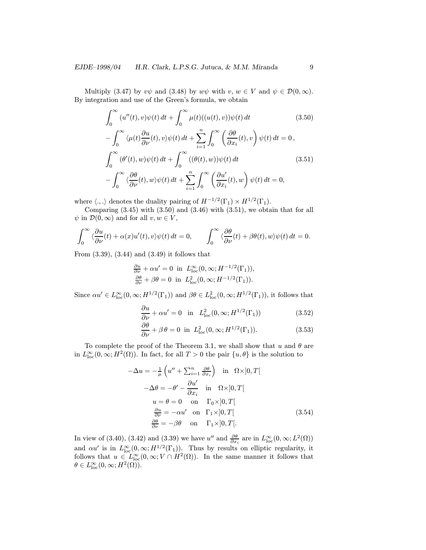Multiply (3.47) by  $v\psi$  and (3.48) by  $w\psi$  with  $v, w \in V$  and  $\psi \in \mathcal{D}(0, \infty)$ . By integration and use of the Green's formula, we obtain

$$
\int_0^\infty (u''(t), v)\psi(t) dt + \int_0^\infty \mu(t)((u(t), v))\psi(t) dt
$$
(3.50)  

$$
-\int_0^\infty \langle \mu(t)\frac{\partial u}{\partial \nu}(t), v \rangle \psi(t) dt + \sum_{i=1}^n \int_0^\infty \left(\frac{\partial \theta}{\partial x_i}(t), v\right) \psi(t) dt = 0,
$$
  

$$
\int_0^\infty (\theta'(t), w)\psi(t) dt + \int_0^\infty ((\theta(t), w))\psi(t) dt
$$
(3.51)  

$$
-\int_0^\infty \langle \frac{\partial \theta}{\partial \nu}(t), w \rangle \psi(t) dt + \sum_{i=1}^n \int_0^\infty \left(\frac{\partial u'}{\partial x_i}(t), w\right) \psi(t) dt = 0,
$$

where  $\langle ., . \rangle$  denotes the duality pairing of  $H^{-1/2}(\Gamma_1) \times H^{1/2}(\Gamma_1)$ .

Comparing  $(3.45)$  with  $(3.50)$  and  $(3.46)$  with  $(3.51)$ , we obtain that for all  $\psi$  in  $\mathcal{D}(0,\infty)$  and for all  $v, w \in V$ ,

$$
\int_0^\infty \langle \frac{\partial u}{\partial \nu}(t) + \alpha(x) u'(t), v \rangle \psi(t) dt = 0, \qquad \int_0^\infty \langle \frac{\partial \theta}{\partial \nu}(t) + \beta \theta(t), w \rangle \psi(t) dt = 0.
$$

From (3.39), (3.44) and (3.49) it follows that

$$
\frac{\partial u}{\partial \nu} + \alpha u' = 0 \text{ in } L^{\infty}_{\text{loc}}(0, \infty; H^{-1/2}(\Gamma_1)),
$$
  

$$
\frac{\partial \theta}{\partial \nu} + \beta \theta = 0 \text{ in } L^{2}_{\text{loc}}(0, \infty; H^{-1/2}(\Gamma_1)).
$$

Since  $\alpha u' \in L^{\infty}_{loc}(0,\infty;H^{1/2}(\Gamma_1))$  and  $\beta\theta \in L^2_{loc}(0,\infty;H^{1/2}(\Gamma_1))$ , it follows that

$$
\frac{\partial u}{\partial \nu} + \alpha u' = 0 \quad \text{in} \quad L^2_{\text{loc}}(0, \infty; H^{1/2}(\Gamma_1)) \tag{3.52}
$$

$$
\frac{\partial \theta}{\partial \nu} + \beta \theta = 0 \text{ in } L^2_{\text{loc}}(0, \infty; H^{1/2}(\Gamma_1)).
$$
 (3.53)

To complete the proof of the Theorem 3.1, we shall show that u and  $\theta$  are in  $L^{\infty}_{loc}(0,\infty;H^2(\Omega))$ . In fact, for all  $T>0$  the pair  $\{u,\theta\}$  is the solution to

$$
-\Delta u = -\frac{1}{\mu} \left( u'' + \sum_{i=1}^{n} \frac{\partial \theta}{\partial x_i} \right) \text{ in } \Omega \times ]0, T[
$$
  
\n
$$
-\Delta \theta = -\theta' - \frac{\partial u'}{\partial x_i} \text{ in } \Omega \times ]0, T[
$$
  
\n
$$
u = \theta = 0 \text{ on } \Gamma_0 \times ]0, T[
$$
  
\n
$$
\frac{\partial u}{\partial \nu} = -\alpha u' \text{ on } \Gamma_1 \times ]0, T[
$$
  
\n
$$
\frac{\partial \theta}{\partial \nu} = -\beta \theta \text{ on } \Gamma_1 \times ]0, T[.
$$
  
\n(3.54)

In view of (3.40), (3.42) and (3.39) we have u'' and  $\frac{\partial \theta}{\partial x_i}$  are in  $L^{\infty}_{loc}(0,\infty; L^2(\Omega))$ and  $\alpha u'$  is in  $L^{\infty}_{loc}(0,\infty;H^{1/2}(\Gamma_1))$ . Thus by results on elliptic regularity, it follows that  $u \in L^{\infty}_{loc}(0,\infty; V \cap H^2(\Omega))$ . In the same manner it follows that  $\theta \in L^{\infty}_{\text{loc}}(0,\infty;H^{2}(\Omega)).$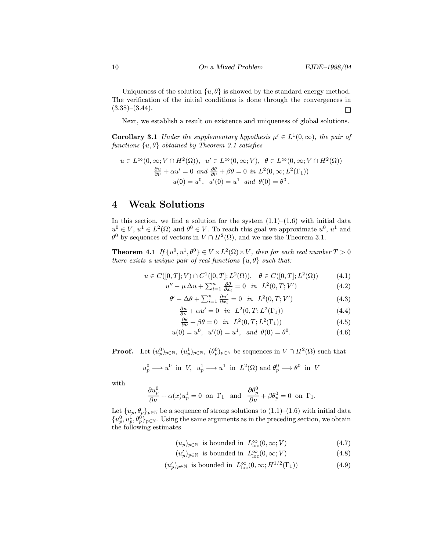Uniqueness of the solution  $\{u, \theta\}$  is showed by the standard energy method. The verification of the initial conditions is done through the convergences in  $(3.38)$ – $(3.44)$ .  $\Box$ 

Next, we establish a result on existence and uniqueness of global solutions.

**Corollary 3.1** Under the supplementary hypothesis  $\mu' \in L^1(0,\infty)$ , the pair of functions  $\{u, \theta\}$  obtained by Theorem 3.1 satisfies

$$
u \in L^{\infty}(0,\infty; V \cap H^{2}(\Omega)), \quad u' \in L^{\infty}(0,\infty; V), \quad \theta \in L^{\infty}(0,\infty; V \cap H^{2}(\Omega))
$$

$$
\frac{\partial u}{\partial \nu} + \alpha u' = 0 \quad and \quad \frac{\partial \theta}{\partial \nu} + \beta \theta = 0 \quad in \quad L^{2}(0,\infty; L^{2}(\Gamma_{1}))
$$

$$
u(0) = u^{0}, \quad u'(0) = u^{1} \quad and \quad \theta(0) = \theta^{0}.
$$

## 4 Weak Solutions

In this section, we find a solution for the system  $(1.1)$ – $(1.6)$  with initial data  $u^0 \in V$ ,  $u^1 \in L^2(\Omega)$  and  $\theta^0 \in V$ . To reach this goal we approximate  $u^0$ ,  $u^1$  and  $\theta^0$  by sequences of vectors in  $V \cap H^2(\Omega)$ , and we use the Theorem 3.1.

**Theorem 4.1** If  $\{u^0, u^1, \theta^0\} \in V \times L^2(\Omega) \times V$ , then for each real number  $T > 0$ there exists a unique pair of real functions  $\{u, \theta\}$  such that:

$$
u \in C([0, T]; V) \cap C^{1}([0, T]; L^{2}(\Omega)), \quad \theta \in C([0, T]; L^{2}(\Omega))
$$
 (4.1)

$$
u'' - \mu \Delta u + \sum_{i=1}^{n} \frac{\partial \theta}{\partial x_i} = 0 \quad in \quad L^2(0, T; V') \tag{4.2}
$$

$$
\theta' - \Delta\theta + \sum_{i=1}^{n} \frac{\partial u'}{\partial x_i} = 0 \quad in \quad L^2(0, T; V') \tag{4.3}
$$

$$
\frac{\partial u}{\partial \nu} + \alpha u' = 0 \quad \text{in} \quad L^2(0, T; L^2(\Gamma_1)) \tag{4.4}
$$

$$
\frac{\partial \theta}{\partial \nu} + \beta \theta = 0 \quad \text{in} \quad L^2(0, T; L^2(\Gamma_1)) \tag{4.5}
$$

$$
u(0) = u^0, \ \ u'(0) = u^1, \ \text{and} \ \theta(0) = \theta^0. \tag{4.6}
$$

**Proof.** Let  $(u_p^0)_{p \in \mathbb{N}}$ ,  $(u_p^1)_{p \in \mathbb{N}}$ ,  $(\theta_p^0)_{p \in \mathbb{N}}$  be sequences in  $V \cap H^2(\Omega)$  such that

$$
u_p^0 \longrightarrow u^0 \ \ \text{in} \ \ V, \ \ u_p^1 \longrightarrow u^1 \ \ \text{in} \ \ L^2(\Omega) \ \text{and} \ \theta_p^0 \longrightarrow \theta^0 \ \ \text{in} \ \ V
$$

with

$$
\frac{\partial u_p^0}{\partial \nu} + \alpha(x) u_p^1 = 0 \text{ on } \Gamma_1 \text{ and } \frac{\partial \theta_p^0}{\partial \nu} + \beta \theta_p^0 = 0 \text{ on } \Gamma_1.
$$

Let  $\{u_p, \theta_p\}_{p \in \mathbb{N}}$  be a sequence of strong solutions to  $(1.1)$ – $(1.6)$  with initial data  ${u_p^0, u_p^1, \theta_p^0}_{p \in \mathbb{N}}$ . Using the same arguments as in the preceding section, we obtain the following estimates

$$
(u_p)_{p \in \mathbb{N}} \text{ is bounded in } L^{\infty}_{\text{loc}}(0, \infty; V) \tag{4.7}
$$

$$
(u_p')_{p \in \mathbb{N}} \text{ is bounded in } L^{\infty}_{\text{loc}}(0, \infty; V)
$$
 (4.8)

$$
(u_p')_{p \in \mathbb{N}} \text{ is bounded in } L^{\infty}_{\text{loc}}(0, \infty; H^{1/2}(\Gamma_1))
$$
\n
$$
(4.9)
$$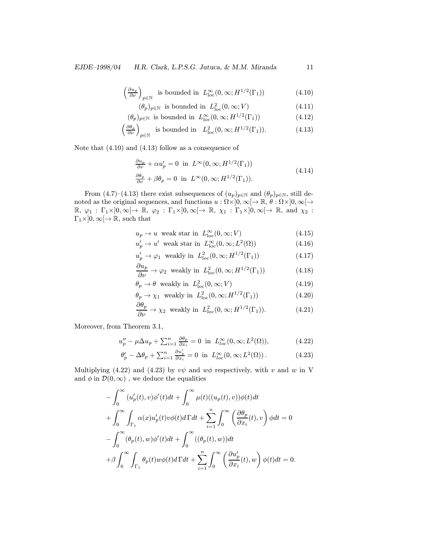$$
\left(\frac{\partial u_p}{\partial \nu}\right)_{p \in \mathbb{N}} \text{ is bounded in } L^{\infty}_{\text{loc}}(0, \infty; H^{1/2}(\Gamma_1)) \tag{4.10}
$$

$$
(\theta_p)_{p \in \mathbb{N}} \text{ is bounded in } L^2_{\text{loc}}(0, \infty; V) \tag{4.11}
$$

$$
(\theta_p)_{p \in \mathbb{N}} \text{ is bounded in } L^{\infty}_{\text{loc}}(0, \infty; H^{1/2}(\Gamma_1))
$$
\n(4.12)

$$
\left(\frac{\partial \theta_p}{\partial \nu}\right)_{p \in \mathbb{N}}
$$
 is bounded in  $L^2_{\text{loc}}(0, \infty; H^{1/2}(\Gamma_1)).$  (4.13)

Note that (4.10) and (4.13) follow as a consequence of

$$
\frac{\partial u_p}{\partial \nu} + \alpha u'_p = 0 \text{ in } L^{\infty}(0, \infty; H^{1/2}(\Gamma_1))
$$
  

$$
\frac{\partial \theta_p}{\partial \nu} + \beta \theta_p = 0 \text{ in } L^{\infty}(0, \infty; H^{1/2}(\Gamma_1)).
$$
 (4.14)

From (4.7)–(4.13) there exist subsequences of  $(u_p)_{p \in \mathbb{N}}$  and  $(\theta_p)_{p \in \mathbb{N}}$ , still denoted as the original sequences, and functions  $u : \Omega \times ]0, \infty[ \to \mathbb{R}, \theta : \Omega \times ]0, \infty[ \to$  $\mathbb{R}, \varphi_1 : \Gamma_1 \times ]0, \infty[ \to \mathbb{R}, \varphi_2 : \Gamma_1 \times ]0, \infty[ \to \mathbb{R}, \chi_1 : \Gamma_1 \times ]0, \infty[ \to \mathbb{R}, \text{ and } \chi_2 :$  $\Gamma_1 \times ]0, \infty[ \to \mathbb{R}$ , such that

$$
u_p \to u \quad \text{weak star in} \quad L_{\text{loc}}^{\infty}(0, \infty; V) \tag{4.15}
$$

$$
u_p' \to u' \text{ weak star in } L_{\text{loc}}^{\infty}(0, \infty; L^2(\Omega))
$$
 (4.16)

$$
u'_p \to \varphi_1 \text{ weakly in } L^2_{\text{loc}}(0, \infty; H^{1/2}(\Gamma_1))
$$
 (4.17)

$$
\frac{\partial u_p}{\partial \nu} \to \varphi_2 \text{ weakly in } L^2_{\text{loc}}(0, \infty; H^{1/2}(\Gamma_1))
$$
 (4.18)

$$
\theta_p \to \theta \text{ weakly in } L^2_{\text{loc}}(0, \infty; V) \tag{4.19}
$$

$$
\theta_p \to \chi_1
$$
 weakly in  $L^2_{loc}(0, \infty; H^{1/2}(\Gamma_1))$  (4.20)  
 $\theta_\theta$ 

$$
\frac{\partial \theta_p}{\partial \nu} \to \chi_2 \text{ weakly in } L^2_{\text{loc}}(0, \infty; H^{1/2}(\Gamma_1)). \tag{4.21}
$$

Moreover, from Theorem 3.1,

$$
u_p'' - \mu \Delta u_p + \sum_{i=1}^n \frac{\partial \theta_p}{\partial x_i} = 0 \text{ in } L_{loc}^{\infty}(0, \infty; L^2(\Omega)),
$$
 (4.22)

$$
\theta_p' - \Delta \theta_p + \sum_{i=1}^n \frac{\partial u_p'}{\partial x_i} = 0 \text{ in } L^{\infty}_{loc}(0, \infty; L^2(\Omega)).
$$
 (4.23)

Multiplying (4.22) and (4.23) by  $v\psi$  and  $w\phi$  respectively, with v and w in V and  $\phi$  in  $\mathcal{D}(0,\infty)$ , we deduce the equalities

$$
-\int_0^\infty (u'_p(t), v)\phi'(t)dt + \int_0^\infty \mu(t)((u_p(t), v))\phi(t)dt
$$
  
+ 
$$
\int_0^\infty \int_{\Gamma_1} \alpha(x)u'_p(t)v\phi(t)d\Gamma dt + \sum_{i=1}^n \int_0^\infty \left(\frac{\partial \theta_p}{\partial x_i}(t), v\right)\phi dt = 0
$$
  
- 
$$
\int_0^\infty (\theta_p(t), w)\phi'(t)dt + \int_0^\infty ((\theta_p(t), w))dt
$$
  
+ 
$$
\beta \int_0^\infty \int_{\Gamma_1} \theta_p(t)w\phi(t)d\Gamma dt + \sum_{i=1}^n \int_0^\infty \left(\frac{\partial u'_p}{\partial x_i}(t), w\right)\phi(t)dt = 0.
$$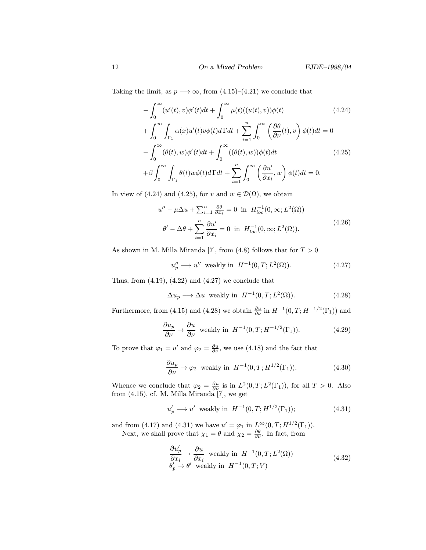Taking the limit, as  $p \rightarrow \infty$ , from (4.15)–(4.21) we conclude that

$$
-\int_0^\infty (u'(t), v)\phi'(t)dt + \int_0^\infty \mu(t)((u(t), v))\phi(t)
$$
(4.24)  
+ 
$$
\int_0^\infty \int_{\Gamma_1} \alpha(x)u'(t)v\phi(t)d\Gamma dt + \sum_{i=1}^n \int_0^\infty \left(\frac{\partial \theta}{\partial \nu}(t), v\right)\phi(t)dt = 0
$$
  
- 
$$
\int_0^\infty (\theta(t), w)\phi'(t)dt + \int_0^\infty ((\theta(t), w))\phi(t)dt
$$
(4.25)  
+
$$
\beta \int_0^\infty \int_{\Gamma_1} \theta(t)w\phi(t)d\Gamma dt + \sum_{i=1}^n \int_0^\infty \left(\frac{\partial u'}{\partial x_i}, w\right)\phi(t)dt = 0.
$$

In view of (4.24) and (4.25), for v and  $w \in \mathcal{D}(\Omega)$ , we obtain

$$
u'' - \mu \Delta u + \sum_{i=1}^{n} \frac{\partial \theta}{\partial x_i} = 0 \text{ in } H_{loc}^{-1}(0, \infty; L^2(\Omega))
$$
  

$$
\theta' - \Delta \theta + \sum_{i=1}^{n} \frac{\partial u'}{\partial x_i} = 0 \text{ in } H_{loc}^{-1}(0, \infty; L^2(\Omega)).
$$
 (4.26)

As shown in M. Milla Miranda [7], from (4.8) follows that for  $T > 0$ 

$$
u_p'' \longrightarrow u'' \text{ weakly in } H^{-1}(0, T; L^2(\Omega)). \tag{4.27}
$$

Thus, from  $(4.19)$ ,  $(4.22)$  and  $(4.27)$  we conclude that

$$
\Delta u_p \longrightarrow \Delta u \text{ weakly in } H^{-1}(0, T; L^2(\Omega)). \tag{4.28}
$$

Furthermore, from (4.15) and (4.28) we obtain  $\frac{\partial u}{\partial \nu}$  in  $H^{-1}(0,T;H^{-1/2}(\Gamma_1))$  and

$$
\frac{\partial u_p}{\partial \nu} \to \frac{\partial u}{\partial \nu} \text{ weakly in } H^{-1}(0, T; H^{-1/2}(\Gamma_1)).\tag{4.29}
$$

To prove that  $\varphi_1 = u'$  and  $\varphi_2 = \frac{\partial u}{\partial \nu}$ , we use (4.18) and the fact that

$$
\frac{\partial u_p}{\partial \nu} \to \varphi_2 \text{ weakly in } H^{-1}(0, T; H^{1/2}(\Gamma_1)). \tag{4.30}
$$

Whence we conclude that  $\varphi_2 = \frac{\partial u}{\partial \nu}$  is in  $L^2(0,T;L^2(\Gamma_1))$ , for all  $T > 0$ . Also from (4.15), cf. M. Milla Miranda [7], we get

$$
u'_p \longrightarrow u'
$$
 weakly in  $H^{-1}(0,T; H^{1/2}(\Gamma_1));$  (4.31)

and from (4.17) and (4.31) we have  $u' = \varphi_1$  in  $L^{\infty}(0, T; H^{1/2}(\Gamma_1)).$ Next, we shall prove that  $\chi_1 = \theta$  and  $\chi_2 = \frac{\partial \theta}{\partial \nu}$ . In fact, from

$$
\frac{\partial u'_p}{\partial x_i} \to \frac{\partial u}{\partial x_i} \text{ weakly in } H^{-1}(0, T; L^2(\Omega))
$$
\n
$$
\theta'_p \to \theta' \text{ weakly in } H^{-1}(0, T; V)
$$
\n(4.32)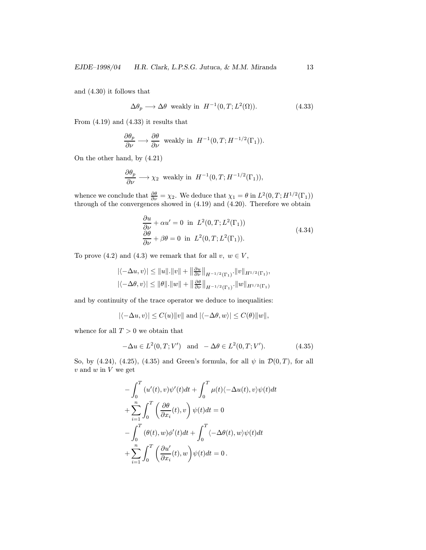and (4.30) it follows that

$$
\Delta \theta_p \longrightarrow \Delta \theta \text{ weakly in } H^{-1}(0, T; L^2(\Omega)). \tag{4.33}
$$

From (4.19) and (4.33) it results that

$$
\frac{\partial \theta_p}{\partial \nu} \longrightarrow \frac{\partial \theta}{\partial \nu} \text{ weakly in } H^{-1}(0, T; H^{-1/2}(\Gamma_1)).
$$

On the other hand, by (4.21)

$$
\frac{\partial \theta_p}{\partial \nu} \longrightarrow \chi_2 \text{ weakly in } H^{-1}(0, T; H^{-1/2}(\Gamma_1)),
$$

whence we conclude that  $\frac{\partial \theta}{\partial \nu} = \chi_2$ . We deduce that  $\chi_1 = \theta$  in  $L^2(0,T;H^{1/2}(\Gamma_1))$ through of the convergences showed in (4.19) and (4.20). Therefore we obtain

$$
\frac{\partial u}{\partial \nu} + \alpha u' = 0 \text{ in } L^2(0, T; L^2(\Gamma_1))
$$
  

$$
\frac{\partial \theta}{\partial \nu} + \beta \theta = 0 \text{ in } L^2(0, T; L^2(\Gamma_1)).
$$
\n(4.34)

To prove (4.2) and (4.3) we remark that for all  $v, w \in V$ ,

$$
\begin{aligned} |\langle -\Delta u, v \rangle| &\leq \|u\|.\|v\| + \left\|\tfrac{\partial u}{\partial \nu}\right\|_{H^{-1/2}(\Gamma_1)} \cdot \|v\|_{H^{1/2}(\Gamma_1)}, \\ |\langle -\Delta \theta, v \rangle| &\leq \|\theta\|.\|w\| + \left\|\tfrac{\partial \theta}{\partial \nu}\right\|_{H^{-1/2}(\Gamma_1)} \cdot \|w\|_{H^{1/2}(\Gamma_1)} \end{aligned}
$$

and by continuity of the trace operator we deduce to inequalities:

$$
|\langle -\Delta u, v \rangle| \le C(u) ||v|| \text{ and } |\langle -\Delta \theta, w \rangle| \le C(\theta) ||w||,
$$

whence for all  $T > 0$  we obtain that

$$
-\Delta u \in L^{2}(0, T; V') \text{ and } -\Delta \theta \in L^{2}(0, T; V'). \tag{4.35}
$$

So, by (4.24), (4.25), (4.35) and Green's formula, for all  $\psi$  in  $\mathcal{D}(0,T)$ , for all  $v$  and  $w$  in  $V$  we get

$$
-\int_0^T (u'(t), v)\psi'(t)dt + \int_0^T \mu(t)\langle -\Delta u(t), v\rangle \psi(t)dt
$$
  
+
$$
\sum_{i=1}^n \int_0^T \left(\frac{\partial \theta}{\partial x_i}(t), v\right) \psi(t)dt = 0
$$
  
-
$$
\int_0^T (\theta(t), w)\phi'(t)dt + \int_0^T \langle -\Delta \theta(t), w \rangle \psi(t)dt
$$
  
+
$$
\sum_{i=1}^n \int_0^T \left(\frac{\partial u'}{\partial x_i}(t), w\right) \psi(t)dt = 0.
$$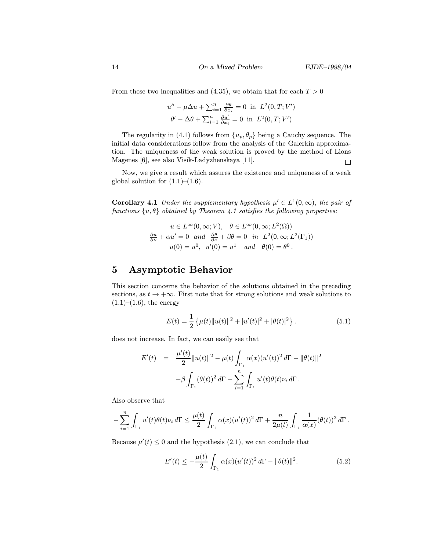From these two inequalities and (4.35), we obtain that for each  $T > 0$ 

$$
u'' - \mu \Delta u + \sum_{i=1}^{n} \frac{\partial \theta}{\partial x_i} = 0 \text{ in } L^2(0, T; V')
$$

$$
\theta' - \Delta \theta + \sum_{i=1}^{n} \frac{\partial u'}{\partial x_i} = 0 \text{ in } L^2(0, T; V')
$$

The regularity in (4.1) follows from  $\{u_p, \theta_p\}$  being a Cauchy sequence. The initial data considerations follow from the analysis of the Galerkin approximation. The uniqueness of the weak solution is proved by the method of Lions Magenes [6], see also Visik-Ladyzhenskaya [11].  $\Box$ 

Now, we give a result which assures the existence and uniqueness of a weak global solution for  $(1.1)$ – $(1.6)$ .

**Corollary 4.1** Under the supplementary hypothesis  $\mu' \in L^1(0,\infty)$ , the pair of functions  $\{u, \theta\}$  obtained by Theorem 4.1 satisfies the following properties:

$$
u \in L^{\infty}(0, \infty; V), \quad \theta \in L^{\infty}(0, \infty; L^{2}(\Omega))
$$
  

$$
\frac{\partial u}{\partial \nu} + \alpha u' = 0 \quad and \quad \frac{\partial \theta}{\partial \nu} + \beta \theta = 0 \quad in \quad L^{2}(0, \infty; L^{2}(\Gamma_{1}))
$$
  

$$
u(0) = u^{0}, \quad u'(0) = u^{1} \quad and \quad \theta(0) = \theta^{0}.
$$

### 5 Asymptotic Behavior

This section concerns the behavior of the solutions obtained in the preceding sections, as  $t \to +\infty$ . First note that for strong solutions and weak solutions to  $(1.1)–(1.6)$ , the energy

$$
E(t) = \frac{1}{2} \left\{ \mu(t) \|u(t)\|^2 + |u'(t)|^2 + |\theta(t)|^2 \right\}.
$$
 (5.1)

does not increase. In fact, we can easily see that

$$
E'(t) = \frac{\mu'(t)}{2} ||u(t)||^2 - \mu(t) \int_{\Gamma_1} \alpha(x) (u'(t))^2 d\Gamma - ||\theta(t)||^2
$$
  

$$
-\beta \int_{\Gamma_1} (\theta(t))^2 d\Gamma - \sum_{i=1}^n \int_{\Gamma_1} u'(t) \theta(t) \nu_i d\Gamma.
$$

Also observe that

$$
-\sum_{i=1}^n \int_{\Gamma_1} u'(t) \theta(t) \nu_i d\Gamma \le \frac{\mu(t)}{2} \int_{\Gamma_1} \alpha(x) (u'(t))^2 d\Gamma + \frac{n}{2\mu(t)} \int_{\Gamma_1} \frac{1}{\alpha(x)} (\theta(t))^2 d\Gamma.
$$

Because  $\mu'(t) \leq 0$  and the hypothesis (2.1), we can conclude that

$$
E'(t) \le -\frac{\mu(t)}{2} \int_{\Gamma_1} \alpha(x) (u'(t))^2 d\Gamma - ||\theta(t)||^2.
$$
 (5.2)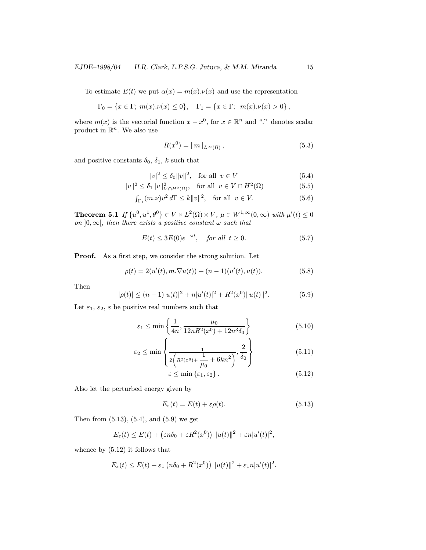To estimate  $E(t)$  we put  $\alpha(x) = m(x) \cdot \nu(x)$  and use the representation

$$
\Gamma_0 = \{ x \in \Gamma; \ m(x).\nu(x) \le 0 \}, \quad \Gamma_1 = \{ x \in \Gamma; \ m(x).\nu(x) > 0 \},
$$

where  $m(x)$  is the vectorial function  $x - x^0$ , for  $x \in \mathbb{R}^n$  and "." denotes scalar product in  $\mathbb{R}^n$ . We also use

$$
R(x^{0}) = ||m||_{L^{\infty}(\Omega)},
$$
\n(5.3)

and positive constants  $\delta_0$ ,  $\delta_1$ , k such that

$$
|v|^2 \le \delta_0 \|v\|^2, \quad \text{for all} \ \ v \in V \tag{5.4}
$$

$$
||v||^2 \le \delta_1 ||v||^2_{V \cap H^2(\Omega)}, \text{ for all } v \in V \cap H^2(\Omega)
$$
 (5.5)

$$
\int_{\Gamma_1} (m.\nu) v^2 d\Gamma \le k \|v\|^2, \quad \text{for all} \ \ v \in V. \tag{5.6}
$$

**Theorem 5.1** If  $\{u^0, u^1, \theta^0\} \in V \times L^2(\Omega) \times V$ ,  $\mu \in W^{1,\infty}(0, \infty)$  with  $\mu'(t) \leq 0$ on  $]0,\infty[$ , then there exists a positive constant  $\omega$  such that

$$
E(t) \le 3E(0)e^{-\omega t}, \quad \text{for all } t \ge 0. \tag{5.7}
$$

Proof. As a first step, we consider the strong solution. Let

$$
\rho(t) = 2(u'(t), m.\nabla u(t)) + (n-1)(u'(t), u(t)).
$$
\n(5.8)

Then

$$
|\rho(t)| \le (n-1)|u(t)|^2 + n|u'(t)|^2 + R^2(x^0) ||u(t)||^2.
$$
 (5.9)

Let  $\varepsilon_1$ ,  $\varepsilon_2$ ,  $\varepsilon$  be positive real numbers such that

$$
\varepsilon_1 \le \min\left\{\frac{1}{4n}, \frac{\mu_0}{12nR^2(x^0) + 12n^3\delta_0}\right\} \tag{5.10}
$$

$$
\varepsilon_2 \le \min\left\{\frac{1}{2\left(R^2(x^0) + \frac{1}{\mu_0} + 6kn^2\right)}, \frac{2}{\delta_0}\right\} \tag{5.11}
$$

$$
\varepsilon \le \min\left\{\varepsilon_1, \varepsilon_2\right\}.\tag{5.12}
$$

Also let the perturbed energy given by

$$
E_{\varepsilon}(t) = E(t) + \varepsilon \rho(t). \tag{5.13}
$$

Then from (5.13), (5.4), and (5.9) we get

$$
E_{\varepsilon}(t) \leq E(t) + \left(\varepsilon n \delta_0 + \varepsilon R^2(x^0)\right) ||u(t)||^2 + \varepsilon n |u'(t)|^2,
$$

whence by (5.12) it follows that

$$
E_{\varepsilon}(t) \leq E(t) + \varepsilon_1 \left( n\delta_0 + R^2(x^0) \right) ||u(t)||^2 + \varepsilon_1 n|u'(t)|^2.
$$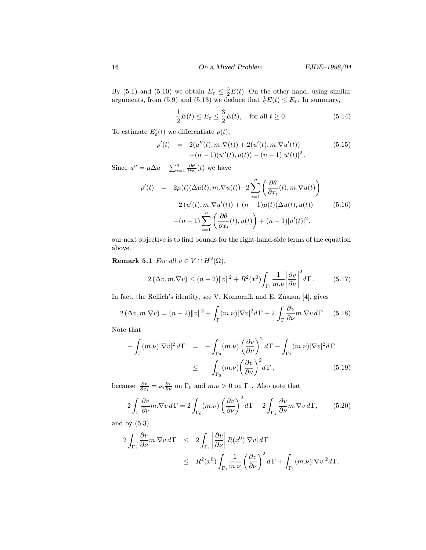By (5.1) and (5.10) we obtain  $E_{\varepsilon} \leq \frac{3}{2}E(t)$ . On the other hand, using similar arguments, from (5.9) and (5.13) we deduce that  $\frac{1}{2}E(t) \le E_{\varepsilon}$ . In summary,

$$
\frac{1}{2}E(t) \le E_{\varepsilon} \le \frac{3}{2}E(t), \quad \text{for all } t \ge 0.
$$
 (5.14)

To estimate  $E'_{\varepsilon}(t)$  we differentiate  $\rho(t)$ ,

$$
\rho'(t) = 2(u''(t), m.\nabla(t)) + 2(u'(t), m.\nabla u'(t)) + (n-1)(u''(t), u(t)) + (n-1)|u'(t)|^2.
$$
\n(5.15)

Since  $u'' = \mu \Delta u - \sum_{i=1}^n \frac{\partial \theta}{\partial x_i}(t)$  we have

$$
\rho'(t) = 2\mu(t)(\Delta u(t), m.\nabla u(t)) - 2\sum_{i=1}^{n} \left(\frac{\partial \theta}{\partial x_i}(t), m.\nabla u(t)\right)
$$
  
+2(u'(t), m.\nabla u'(t)) + (n - 1)\mu(t)(\Delta u(t), u(t))  
-(n - 1)\sum\_{i=1}^{n} \left(\frac{\partial \theta}{\partial x\_i}(t), u(t)\right) + (n - 1)|u'(t)|^2. (5.16)

our next objective is to find bounds for the right-hand-side terms of the equation above.

Remark 5.1 For all  $v \in V \cap H^2(\Omega)$ ,

$$
2\left(\Delta v, m.\nabla v\right) \leq (n-2) \|v\|^2 + R^2(x^0) \int_{\Gamma_1} \frac{1}{m.\nu} \left|\frac{\partial v}{\partial \nu}\right|^2 d\Gamma. \tag{5.17}
$$

In fact, the Rellich's identity, see V. Komornik and E. Zuazua [4], gives

$$
2(\Delta v, m. \nabla v) = (n-2) ||v||^2 - \int_{\Gamma} (m.\nu) |\nabla v|^2 d\Gamma + 2 \int_{\Gamma} \frac{\partial v}{\partial \nu} m. \nabla v d\Gamma. \quad (5.18)
$$

Note that

$$
-\int_{\Gamma} (m.\nu) |\nabla v|^2 d\Gamma = -\int_{\Gamma_0} (m.\nu) \left(\frac{\partial v}{\partial \nu}\right)^2 d\Gamma - \int_{\Gamma_1} (m.\nu) |\nabla v|^2 d\Gamma
$$
  

$$
\leq -\int_{\Gamma_0} (m.\nu) \left(\frac{\partial v}{\partial \nu}\right)^2 d\Gamma, \qquad (5.19)
$$

because  $\frac{\partial v}{\partial x_i} = \nu_i \frac{\partial v}{\partial \nu}$  on  $\Gamma_0$  and  $m.\nu > 0$  on  $\Gamma_1$ . Also note that

$$
2\int_{\Gamma} \frac{\partial v}{\partial \nu} m. \nabla v \, d\Gamma = 2 \int_{\Gamma_0} (m.\nu) \left(\frac{\partial v}{\partial \nu}\right)^2 d\Gamma + 2 \int_{\Gamma_1} \frac{\partial v}{\partial \nu} m. \nabla v \, d\Gamma, \tag{5.20}
$$

and by (5.3)

$$
2\int_{\Gamma_1} \frac{\partial v}{\partial \nu} m . \nabla v \, d\Gamma \leq 2 \int_{\Gamma_1} \left| \frac{\partial v}{\partial \nu} \right| R(x^0) |\nabla v| \, d\Gamma
$$
  

$$
\leq R^2(x^0) \int_{\Gamma_1} \frac{1}{m . \nu} \left( \frac{\partial v}{\partial \nu} \right)^2 d\Gamma + \int_{\Gamma_1} (m . \nu) |\nabla v|^2 d\Gamma.
$$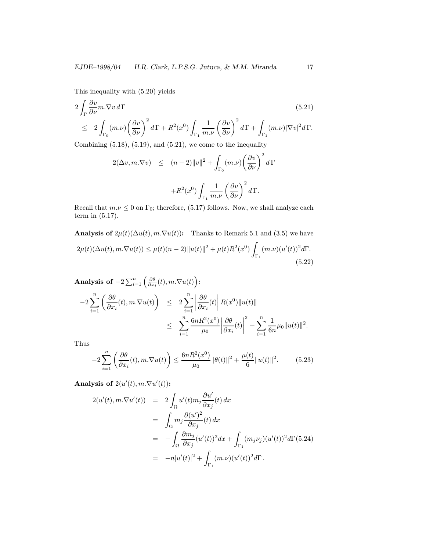This inequality with (5.20) yields

$$
2\int_{\Gamma} \frac{\partial v}{\partial \nu} m. \nabla v \, d\Gamma
$$
\n
$$
\leq 2\int_{\Gamma_0} (m.\nu) \left(\frac{\partial v}{\partial \nu}\right)^2 d\Gamma + R^2(x^0) \int_{\Gamma_1} \frac{1}{m.\nu} \left(\frac{\partial v}{\partial \nu}\right)^2 d\Gamma + \int_{\Gamma_1} (m.\nu) |\nabla v|^2 d\Gamma.
$$
\n
$$
C = \frac{1}{2} \left( \frac{(7.18)}{(7.18)} \left(\frac{(7.19)}{(7.18)}\right) + \frac{(7.91)}{(7.18)} \left(\frac{(7.91)}{(7.18)}\right) \right)
$$
\n(5.21)

Combining  $(5.18)$ ,  $(5.19)$ , and  $(5.21)$ , we come to the inequality

$$
2(\Delta v, m. \nabla v) \le (n-2) ||v||^2 + \int_{\Gamma_0} (m.\nu) \left(\frac{\partial v}{\partial \nu}\right)^2 d\Gamma
$$
  
+
$$
+ R^2(x^0) \int_{\Gamma_1} \frac{1}{m.\nu} \left(\frac{\partial v}{\partial \nu}\right)^2 d\Gamma.
$$

Recall that  $m.\nu \leq 0$  on  $\Gamma_0$ ; therefore, (5.17) follows. Now, we shall analyze each term in (5.17).

Analysis of  $2\mu(t)(\Delta u(t), m.\nabla u(t))$ : Thanks to Remark 5.1 and (3.5) we have  $2\mu(t)(\Delta u(t), m \cdot \nabla u(t)) \leq \mu(t)(n-2) ||u(t)||^2 + \mu(t)R^2(x^0)$  $\Gamma_1$  $(m.\nu)(u'(t))^2 d\Gamma.$ (5.22)

**Analysis of** 
$$
-2 \sum_{i=1}^{n} \left( \frac{\partial \theta}{\partial x_i}(t), m. \nabla u(t) \right):
$$
  
\n $-2 \sum_{i=1}^{n} \left( \frac{\partial \theta}{\partial x_i}(t), m. \nabla u(t) \right) \leq 2 \sum_{i=1}^{n} \left| \frac{\partial \theta}{\partial x_i}(t) \right| R(x^0) \| u(t) \|$   
\n $\leq \sum_{i=1}^{n} \frac{6nR^2(x^0)}{\mu_0} \left| \frac{\partial \theta}{\partial x_i}(t) \right|^2 + \sum_{i=1}^{n} \frac{1}{6n} \mu_0 \| u(t) \|^2.$ 

Thus

$$
-2\sum_{i=1}^{n} \left( \frac{\partial \theta}{\partial x_i}(t), m. \nabla u(t) \right) \le \frac{6nR^2(x^0)}{\mu_0} \|\theta(t)\|^2 + \frac{\mu(t)}{6} \|u(t)\|^2. \tag{5.23}
$$

Analysis of  $2(u'(t), m.\nabla u'(t))$ :

$$
2(u'(t), m.\nabla u'(t)) = 2 \int_{\Omega} u'(t) m_j \frac{\partial u'}{\partial x_j}(t) dx
$$
  
\n
$$
= \int_{\Omega} m_j \frac{\partial (u')^2}{\partial x_j}(t) dx
$$
  
\n
$$
= - \int_{\Omega} \frac{\partial m_j}{\partial x_j} (u'(t))^2 dx + \int_{\Gamma_1} (m_j \nu_j) (u'(t))^2 d\Gamma (5.24)
$$
  
\n
$$
= -n|u'(t)|^2 + \int_{\Gamma_1} (m.\nu) (u'(t))^2 d\Gamma.
$$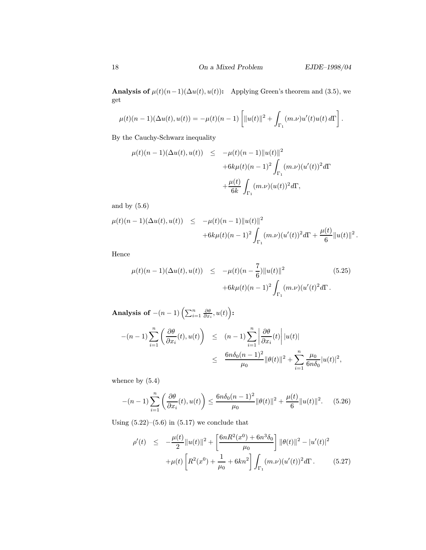Analysis of  $\mu(t)(n-1)(\Delta u(t), u(t))$ : Applying Green's theorem and (3.5), we get

$$
\mu(t)(n-1)(\Delta u(t), u(t)) = -\mu(t)(n-1)\left[\|u(t)\|^2 + \int_{\Gamma_1} (m.\nu)u'(t)u(t) d\Gamma\right].
$$

By the Cauchy-Schwarz inequality

$$
\mu(t)(n-1)(\Delta u(t), u(t)) \leq -\mu(t)(n-1) ||u(t)||^2 + 6k\mu(t)(n-1)^2 \int_{\Gamma_1} (m \cdot \nu) (u'(t))^2 d\Gamma + \frac{\mu(t)}{6k} \int_{\Gamma_1} (m \cdot \nu) (u(t))^2 d\Gamma,
$$

and by (5.6)

$$
\mu(t)(n-1)(\Delta u(t), u(t)) \leq -\mu(t)(n-1) \|u(t)\|^2 +6k\mu(t)(n-1)^2 \int_{\Gamma_1} (m.\nu)(u'(t))^2 d\Gamma + \frac{\mu(t)}{6} \|u(t)\|^2.
$$

Hence

$$
\mu(t)(n-1)(\Delta u(t), u(t)) \leq -\mu(t)(n-\frac{7}{6})||u(t)||^2
$$
\n
$$
+6k\mu(t)(n-1)^2 \int_{\Gamma_1} (m.\nu)(u'(t)^2 d\Gamma).
$$
\n(5.25)

**Analysis of** 
$$
-(n-1) \left( \sum_{i=1}^{n} \frac{\partial \theta}{\partial x_i}, u(t) \right):
$$
  

$$
-(n-1) \sum_{i=1}^{n} \left( \frac{\partial \theta}{\partial x_i}(t), u(t) \right) \le (n-1) \sum_{i=1}^{n} \left| \frac{\partial \theta}{\partial x_i}(t) \right| |u(t)|
$$

$$
\le \frac{6n\delta_0(n-1)^2}{\mu_0} ||\theta(t)||^2 + \sum_{i=1}^{n} \frac{\mu_0}{6n\delta_0} |u(t)|^2,
$$

whence by (5.4)

$$
-(n-1)\sum_{i=1}^{n}\left(\frac{\partial\theta}{\partial x_i}(t),u(t)\right) \le \frac{6n\delta_0(n-1)^2}{\mu_0}\|\theta(t)\|^2 + \frac{\mu(t)}{6}\|u(t)\|^2. \tag{5.26}
$$

Using  $(5.22)$ – $(5.6)$  in  $(5.17)$  we conclude that

$$
\rho'(t) \leq -\frac{\mu(t)}{2} \|u(t)\|^2 + \left[\frac{6nR^2(x^0) + 6n^3\delta_0}{\mu_0}\right] \|\theta(t)\|^2 - |u'(t)|^2
$$

$$
+ \mu(t) \left[R^2(x^0) + \frac{1}{\mu_0} + 6kn^2\right] \int_{\Gamma_1} (m.\nu)(u'(t))^2 d\Gamma. \tag{5.27}
$$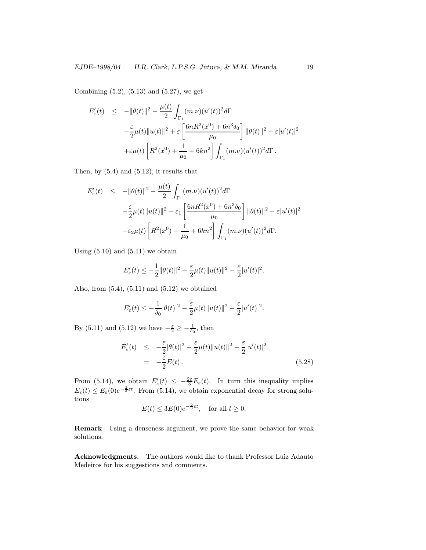Combining (5.2), (5.13) and (5.27), we get

$$
E'_{\varepsilon}(t) \leq -\|\theta(t)\|^2 - \frac{\mu(t)}{2} \int_{\Gamma_1} (m.\nu)(u'(t))^2 d\Gamma
$$
  

$$
-\frac{\varepsilon}{2} \mu(t) \|u(t)\|^2 + \varepsilon \left[ \frac{6nR^2(x^0) + 6n^3 \delta_0}{\mu_0} \right] \|\theta(t)\|^2 - \varepsilon |u'(t)|^2
$$
  

$$
+\varepsilon \mu(t) \left[ R^2(x^0) + \frac{1}{\mu_0} + 6kn^2 \right] \int_{\Gamma_1} (m.\nu)(u'(t))^2 d\Gamma.
$$

Then, by (5.4) and (5.12), it results that

$$
E'_{\varepsilon}(t) \leq -\|\theta(t)\|^2 - \frac{\mu(t)}{2} \int_{\Gamma_1} (m.\nu)(u'(t))^2 d\Gamma
$$
  

$$
-\frac{\varepsilon}{2}\mu(t)\|u(t)\|^2 + \varepsilon_1 \left[ \frac{6nR^2(x^0) + 6n^3\delta_0}{\mu_0} \right] \|\theta(t)\|^2 - \varepsilon|u'(t)|^2
$$
  

$$
+\varepsilon_2\mu(t) \left[ R^2(x^0) + \frac{1}{\mu_0} + 6kn^2 \right] \int_{\Gamma_1} (m.\nu)(u'(t))^2 d\Gamma.
$$

Using  $(5.10)$  and  $(5.11)$  we obtain

$$
E'_{\varepsilon}(t) \leq -\frac{1}{2} \|\theta(t)\|^2 - \frac{\varepsilon}{2} \mu(t) \|u(t)\|^2 - \frac{\varepsilon}{2} |u'(t)|^2.
$$

Also, from  $(5.4)$ ,  $(5.11)$  and  $(5.12)$  we obtained

$$
E'_{\varepsilon}(t)\leq -\frac{1}{\delta_0}|\theta(t)|^2-\frac{\varepsilon}{2}\mu(t)\|u(t)\|^2-\frac{\varepsilon}{2}|u'(t)|^2.
$$

By (5.11) and (5.12) we have  $-\frac{\varepsilon}{2} \ge -\frac{1}{\delta_0}$ , then

$$
E'_{\varepsilon}(t) \leq -\frac{\varepsilon}{2} |\theta(t)|^2 - \frac{\varepsilon}{2} \mu(t) ||u(t)||^2 - \frac{\varepsilon}{2} |u'(t)|^2
$$
  
= 
$$
-\frac{\varepsilon}{2} E(t).
$$
 (5.28)

From (5.14), we obtain  $E'_{\varepsilon}(t) \leq -\frac{2\varepsilon}{3} E_{\varepsilon}(t)$ . In turn this inequality implies  $E_{\varepsilon}(t) \leq E_{\varepsilon}(0)e^{-\frac{2}{3}\varepsilon t}$ . From (5.14), we obtain exponential decay for strong solutions

$$
E(t) \le 3E(0)e^{-\frac{2}{3}\varepsilon t}, \quad \text{for all } t \ge 0.
$$

Remark Using a denseness argument, we prove the same behavior for weak solutions.

Acknowledgments. The authors would like to thank Professor Luiz Adauto Medeiros for his suggestions and comments.